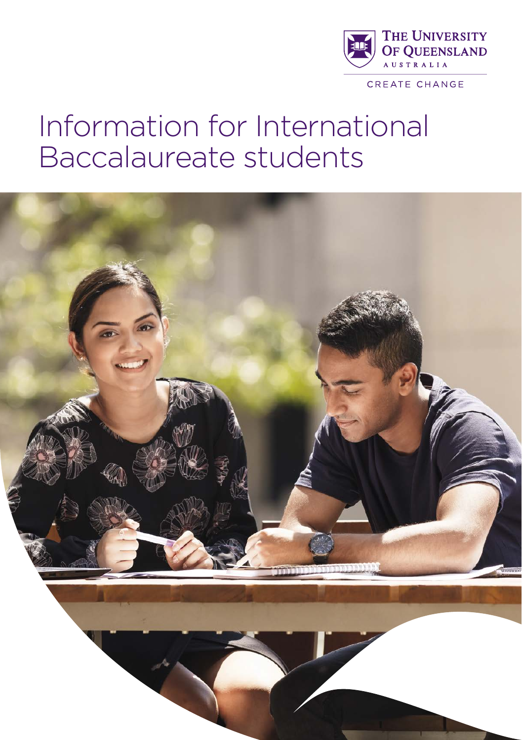

# Information for International Baccalaureate students

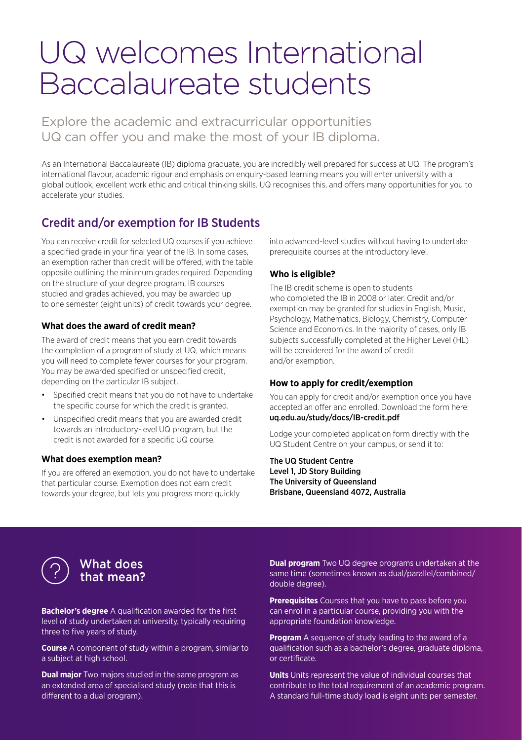# UQ welcomes International Baccalaureate students

Explore the academic and extracurricular opportunities UQ can offer you and make the most of your IB diploma.

As an International Baccalaureate (IB) diploma graduate, you are incredibly well prepared for success at UQ. The program's international flavour, academic rigour and emphasis on enquiry-based learning means you will enter university with a global outlook, excellent work ethic and critical thinking skills. UQ recognises this, and offers many opportunities for you to accelerate your studies.

# Credit and/or exemption for IB Students

You can receive credit for selected UQ courses if you achieve a specified grade in your final year of the IB. In some cases, an exemption rather than credit will be offered, with the table opposite outlining the minimum grades required. Depending on the structure of your degree program, IB courses studied and grades achieved, you may be awarded up to one semester (eight units) of credit towards your degree.

### **What does the award of credit mean?**

The award of credit means that you earn credit towards the completion of a program of study at UQ, which means you will need to complete fewer courses for your program. You may be awarded specified or unspecified credit, depending on the particular IB subject.

- Specified credit means that you do not have to undertake the specific course for which the credit is granted.
- Unspecified credit means that you are awarded credit towards an introductory-level UQ program, but the credit is not awarded for a specific UQ course.

#### **What does exemption mean?**

If you are offered an exemption, you do not have to undertake that particular course. Exemption does not earn credit towards your degree, but lets you progress more quickly

into advanced-level studies without having to undertake prerequisite courses at the introductory level.

#### **Who is eligible?**

The IB credit scheme is open to students who completed the IB in 2008 or later. Credit and/or exemption may be granted for studies in English, Music, Psychology, Mathematics, Biology, Chemistry, Computer Science and Economics. In the majority of cases, only IB subjects successfully completed at the Higher Level (HL) will be considered for the award of credit and/or exemption.

#### **How to apply for credit/exemption**

You can apply for credit and/or exemption once you have accepted an offer and enrolled. Download the form here: [uq.edu.au/study/docs/IB-credit.pdf](http://uq.edu.au/study/docs/IB-credit.pdf)

Lodge your completed application form directly with the UQ Student Centre on your campus, or send it to:

The UQ Student Centre Level 1, JD Story Building The University of Queensland Brisbane, Queensland 4072, Australia



# What does that mean?

**Bachelor's degree** A qualification awarded for the first level of study undertaken at university, typically requiring three to five years of study.

**Course** A component of study within a program, similar to a subject at high school.

**Dual major** Two majors studied in the same program as an extended area of specialised study (note that this is different to a dual program).

**Dual program** Two UQ degree programs undertaken at the same time (sometimes known as dual/parallel/combined/ double degree).

**Prerequisites** Courses that you have to pass before you can enrol in a particular course, providing you with the appropriate foundation knowledge.

**Program** A sequence of study leading to the award of a qualification such as a bachelor's degree, graduate diploma, or certificate.

**Units** Units represent the value of individual courses that contribute to the total requirement of an academic program. A standard full-time study load is eight units per semester.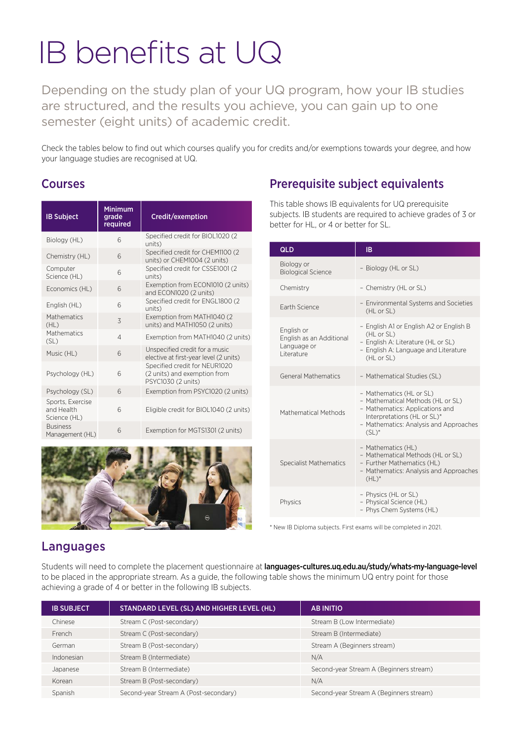# IB benefits at UQ

Depending on the study plan of your UQ program, how your IB studies are structured, and the results you achieve, you can gain up to one semester (eight units) of academic credit.

Check the tables below to find out which courses qualify you for credits and/or exemptions towards your degree, and how your language studies are recognised at UQ.

# Courses

| <b>IB Subject</b>                              | <b>Minimum</b><br>grade<br>required | Credit/exemption                                                                    |
|------------------------------------------------|-------------------------------------|-------------------------------------------------------------------------------------|
| Biology (HL)                                   | 6                                   | Specified credit for BIOL1020 (2<br>units)                                          |
| Chemistry (HL)                                 | 6                                   | Specified credit for CHEM1100 (2<br>units) or CHEM1004 (2 units)                    |
| Computer<br>Science (HL)                       | $\overline{6}$                      | Specified credit for CSSE1001 (2<br>units)                                          |
| Economics (HL)                                 | 6                                   | Exemption from ECON1010 (2 units)<br>and ECON1020 (2 units)                         |
| English (HL)                                   | $\overline{6}$                      | Specified credit for ENGL1800 (2<br>units)                                          |
| Mathematics<br>(HL)                            | 3                                   | Exemption from MATH1040 (2<br>units) and MATH1050 (2 units)                         |
| Mathematics<br>(SL)                            | $\overline{4}$                      | Exemption from MATH1040 (2 units)                                                   |
| Music (HL)                                     | $\sqrt{2}$                          | Unspecified credit for a music<br>elective at first-year level (2 units)            |
| Psychology (HL)                                | 6                                   | Specified credit for NEUR1020<br>(2 units) and exemption from<br>PSYC1030 (2 units) |
| Psychology (SL)                                | $6\overline{6}$                     | Exemption from PSYC1020 (2 units)                                                   |
| Sports, Exercise<br>and Health<br>Science (HL) | 6                                   | Eligible credit for BIOL1040 (2 units)                                              |
| <b>Business</b><br>Management (HL)             | 6                                   | Exemption for MGTS1301 (2 units)                                                    |



# Prerequisite subject equivalents

This table shows IB equivalents for UQ prerequisite subjects. IB students are required to achieve grades of 3 or better for HL, or 4 or better for SL.

| QLD                                                                  | <b>IB</b>                                                                                                                                                                             |  |
|----------------------------------------------------------------------|---------------------------------------------------------------------------------------------------------------------------------------------------------------------------------------|--|
| Biology or<br><b>Biological Science</b>                              | - Biology (HL or SL)                                                                                                                                                                  |  |
| Chemistry                                                            | - Chemistry (HL or SL)                                                                                                                                                                |  |
| <b>Farth Science</b>                                                 | - Environmental Systems and Societies<br>(HL or SL)                                                                                                                                   |  |
| English or<br>English as an Additional<br>Language or<br>I iterature | - English A1 or English A2 or English B<br>(HL or SL)<br>- English A: Literature (HL or SL)<br>- English A: Language and Literature<br>(HL or SL)                                     |  |
| <b>General Mathematics</b>                                           | - Mathematical Studies (SL)                                                                                                                                                           |  |
| Mathematical Methods                                                 | - Mathematics (HL or SL)<br>- Mathematical Methods (HL or SL)<br>- Mathematics: Applications and<br>Interpretations (HL or SL)*<br>- Mathematics: Analysis and Approaches<br>$(SL)^*$ |  |
| <b>Specialist Mathematics</b>                                        | - Mathematics (HL)<br>- Mathematical Methods (HL or SL)<br>- Further Mathematics (HL)<br>- Mathematics: Analysis and Approaches<br>$(HL)^*$                                           |  |
| Physics                                                              | - Physics (HL or SL)<br>- Physical Science (HL)<br>- Phys Chem Systems (HL)                                                                                                           |  |

\* New IB Diploma subjects. First exams will be completed in 2021.

# Languages

Students will need to complete the placement questionnaire at [languages-cultures.uq.edu.au/study/whats-my-language-level](http://languages-cultures.uq.edu.au/study/whats-my-language-level) to be placed in the appropriate stream. As a guide, the following table shows the minimum UQ entry point for those achieving a grade of 4 or better in the following IB subjects.

| <b>IB SUBJECT</b> | STANDARD LEVEL (SL) AND HIGHER LEVEL (HL) | <b>AB INITIO</b>                        |
|-------------------|-------------------------------------------|-----------------------------------------|
| Chinese           | Stream C (Post-secondary)                 | Stream B (Low Intermediate)             |
| French            | Stream C (Post-secondary)                 | Stream B (Intermediate)                 |
| German            | Stream B (Post-secondary)                 | Stream A (Beginners stream)             |
| Indonesian        | Stream B (Intermediate)                   | N/A                                     |
| Japanese          | Stream B (Intermediate)                   | Second-year Stream A (Beginners stream) |
| Korean            | Stream B (Post-secondary)                 | N/A                                     |
| Spanish           | Second-year Stream A (Post-secondary)     | Second-year Stream A (Beginners stream) |